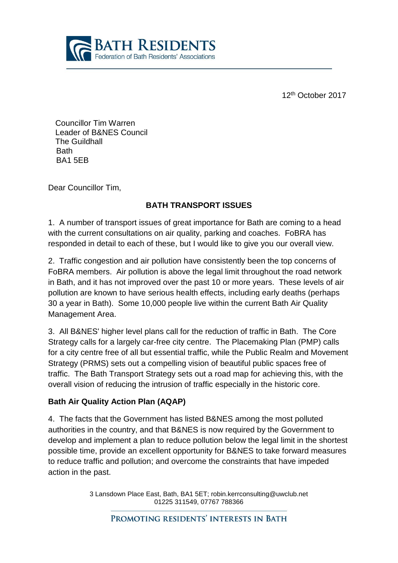

12th October 2017

Councillor Tim Warren Leader of B&NES Council The Guildhall **Bath** BA1 5EB

Dear Councillor Tim,

### **BATH TRANSPORT ISSUES**

1. A number of transport issues of great importance for Bath are coming to a head with the current consultations on air quality, parking and coaches. FoBRA has responded in detail to each of these, but I would like to give you our overall view.

2. Traffic congestion and air pollution have consistently been the top concerns of FoBRA members. Air pollution is above the legal limit throughout the road network in Bath, and it has not improved over the past 10 or more years. These levels of air pollution are known to have serious health effects, including early deaths (perhaps 30 a year in Bath). Some 10,000 people live within the current Bath Air Quality Management Area.

3. All B&NES' higher level plans call for the reduction of traffic in Bath. The Core Strategy calls for a largely car-free city centre. The Placemaking Plan (PMP) calls for a city centre free of all but essential traffic, while the Public Realm and Movement Strategy (PRMS) sets out a compelling vision of beautiful public spaces free of traffic. The Bath Transport Strategy sets out a road map for achieving this, with the overall vision of reducing the intrusion of traffic especially in the historic core.

### **Bath Air Quality Action Plan (AQAP)**

4. The facts that the Government has listed B&NES among the most polluted authorities in the country, and that B&NES is now required by the Government to develop and implement a plan to reduce pollution below the legal limit in the shortest possible time, provide an excellent opportunity for B&NES to take forward measures to reduce traffic and pollution; and overcome the constraints that have impeded action in the past.

> 3 Lansdown Place East, Bath, BA1 5ET; robin.kerrconsulting@uwclub.net 01225 311549, 07767 788366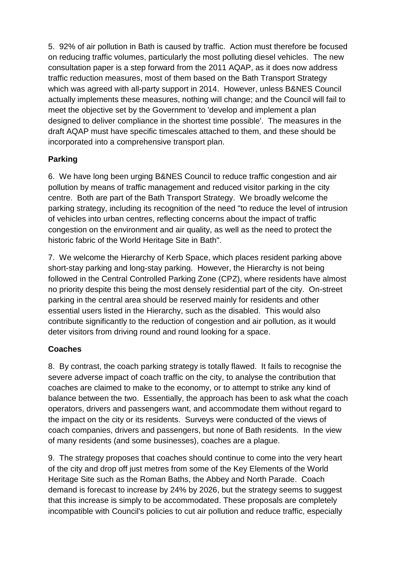5. 92% of air pollution in Bath is caused by traffic. Action must therefore be focused on reducing traffic volumes, particularly the most polluting diesel vehicles. The new consultation paper is a step forward from the 2011 AQAP, as it does now address traffic reduction measures, most of them based on the Bath Transport Strategy which was agreed with all-party support in 2014. However, unless B&NES Council actually implements these measures, nothing will change; and the Council will fail to meet the objective set by the Government to 'develop and implement a plan designed to deliver compliance in the shortest time possible'. The measures in the draft AQAP must have specific timescales attached to them, and these should be incorporated into a comprehensive transport plan.

# **Parking**

6. We have long been urging B&NES Council to reduce traffic congestion and air pollution by means of traffic management and reduced visitor parking in the city centre. Both are part of the Bath Transport Strategy. We broadly welcome the parking strategy, including its recognition of the need "to reduce the level of intrusion of vehicles into urban centres, reflecting concerns about the impact of traffic congestion on the environment and air quality, as well as the need to protect the historic fabric of the World Heritage Site in Bath".

7. We welcome the Hierarchy of Kerb Space, which places resident parking above short-stay parking and long-stay parking. However, the Hierarchy is not being followed in the Central Controlled Parking Zone (CPZ), where residents have almost no priority despite this being the most densely residential part of the city. On-street parking in the central area should be reserved mainly for residents and other essential users listed in the Hierarchy, such as the disabled. This would also contribute significantly to the reduction of congestion and air pollution, as it would deter visitors from driving round and round looking for a space.

# **Coaches**

8. By contrast, the coach parking strategy is totally flawed. It fails to recognise the severe adverse impact of coach traffic on the city, to analyse the contribution that coaches are claimed to make to the economy, or to attempt to strike any kind of balance between the two. Essentially, the approach has been to ask what the coach operators, drivers and passengers want, and accommodate them without regard to the impact on the city or its residents. Surveys were conducted of the views of coach companies, drivers and passengers, but none of Bath residents. In the view of many residents (and some businesses), coaches are a plague.

9. The strategy proposes that coaches should continue to come into the very heart of the city and drop off just metres from some of the Key Elements of the World Heritage Site such as the Roman Baths, the Abbey and North Parade. Coach demand is forecast to increase by 24% by 2026, but the strategy seems to suggest that this increase is simply to be accommodated. These proposals are completely incompatible with Council's policies to cut air pollution and reduce traffic, especially